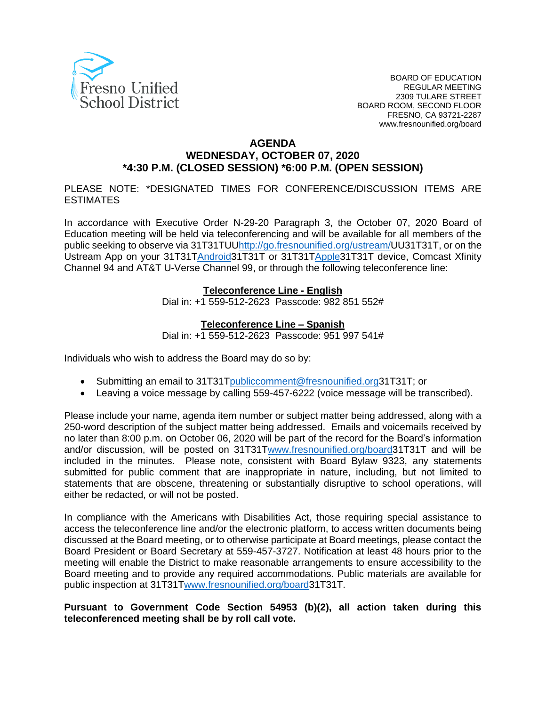

#### **AGENDA**

### **WEDNESDAY, OCTOBER 07, 2020 \*4:30 P.M. (CLOSED SESSION) \*6:00 P.M. (OPEN SESSION)**

 PLEASE NOTE: \*DESIGNATED TIMES FOR CONFERENCE/DISCUSSION ITEMS ARE ESTIMATES

 In accordance with Executive Order N-29-20 Paragraph 3, the October 07, 2020 Board of Education meeting will be held via teleconferencing and will be available for all members of the public seeking to observe via 31T31TUU<u>http://go.fresnounified.org/ustream/</u>UU31T31T, or on the Ustream App on your 31[T31TAndroid3](https://play.google.com/store/apps/details?id=tv.ustream.ustream&hl=en_US)1T31T or 31[T31TApple3](https://itunes.apple.com/us/app/ustream/id301520250?mt=8)1T31T device, Comcast Xfinity Channel 94 and AT&T U-Verse Channel 99, or through the following teleconference line:

#### **Teleconference Line - English**

Dial in: +1 559-512-2623 Passcode: 982 851 552#

#### **Teleconference Line – Spanish**

Dial in: +1 559-512-2623 Passcode: 951 997 541#

Individuals who wish to address the Board may do so by:

- Submitting an email to 31[T31Tpubliccomment@fresnounified.org3](mailto:publiccomment@fresnounified.org)1T31T; or
- Leaving a voice message by calling 559-457-6222 (voice message will be transcribed).

 Please include your name, agenda item number or subject matter being addressed, along with a 250-word description of the subject matter being addressed. Emails and voicemails received by no later than 8:00 p.m. on October 06, 2020 will be part of the record for the Board's information and/or discussion, will be posted on 31[T31Twww.fresnounified.org/board3](http://www.fresnounified.org/board)1T31T and will be included in the minutes. Please note, consistent with Board Bylaw 9323, any statements submitted for public comment that are inappropriate in nature, including, but not limited to statements that are obscene, threatening or substantially disruptive to school operations, will either be redacted, or will not be posted.

 In compliance with the Americans with Disabilities Act, those requiring special assistance to access the teleconference line and/or the electronic platform, to access written documents being discussed at the Board meeting, or to otherwise participate at Board meetings, please contact the Board President or Board Secretary at 559-457-3727. Notification at least 48 hours prior to the meeting will enable the District to make reasonable arrangements to ensure accessibility to the Board meeting and to provide any required accommodations. Public materials are available for public inspection at 31[T31Twww.fresnounified.org/board3](http://www.fresnounified.org/board)1T31T.

#### **Pursuant to Government Code Section 54953 (b)(2), all action taken during this teleconferenced meeting shall be by roll call vote.**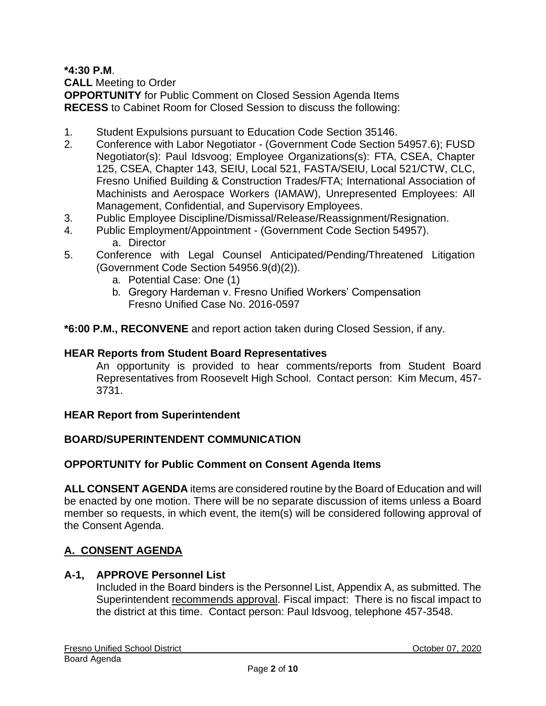**\*4:30 P.M**.

**CALL** Meeting to Order

 **RECESS** to Cabinet Room for Closed Session to discuss the following: **OPPORTUNITY** for Public Comment on Closed Session Agenda Items

- 1. Student Expulsions pursuant to Education Code Section 35146.
- 2. Conference with Labor Negotiator (Government Code Section 54957.6); FUSD Negotiator(s): Paul Idsvoog; Employee Organizations(s): FTA, CSEA, Chapter Fresno Unified Building & Construction Trades/FTA; International Association of 125, CSEA, Chapter 143, SEIU, Local 521, FASTA/SEIU, Local 521/CTW, CLC, Machinists and Aerospace Workers (IAMAW), Unrepresented Employees: All Management, Confidential, and Supervisory Employees.
- 3. Public Employee Discipline/Dismissal/Release/Reassignment/Resignation.
- 4. Public Employment/Appointment (Government Code Section 54957). a. Director
- 5. Conference with Legal Counsel Anticipated/Pending/Threatened Litigation (Government Code Section 54956.9(d)(2)).
	- a. Potential Case: One (1)
	- b. Gregory Hardeman v. Fresno Unified Workers' Compensation Fresno Unified Case No. 2016-0597

**\*6:00 P.M., RECONVENE** and report action taken during Closed Session, if any.

#### **HEAR Reports from Student Board Representatives**

 An opportunity is provided to hear comments/reports from Student Board Representatives from Roosevelt High School. Contact person: Kim Mecum, 457- 3731.

#### **HEAR Report from Superintendent**

#### **BOARD/SUPERINTENDENT COMMUNICATION**

#### **OPPORTUNITY for Public Comment on Consent Agenda Items**

 member so requests, in which event, the item(s) will be considered following approval of **ALL CONSENT AGENDA** items are considered routine by the Board of Education and will be enacted by one motion. There will be no separate discussion of items unless a Board the Consent Agenda.

#### **A. CONSENT AGENDA**

### **A-1, APPROVE Personnel List**

 Included in the Board binders is the Personnel List, Appendix A, as submitted. The Superintendent recommends approval. Fiscal impact: There is no fiscal impact to the district at this time. Contact person: Paul Idsvoog, telephone 457-3548.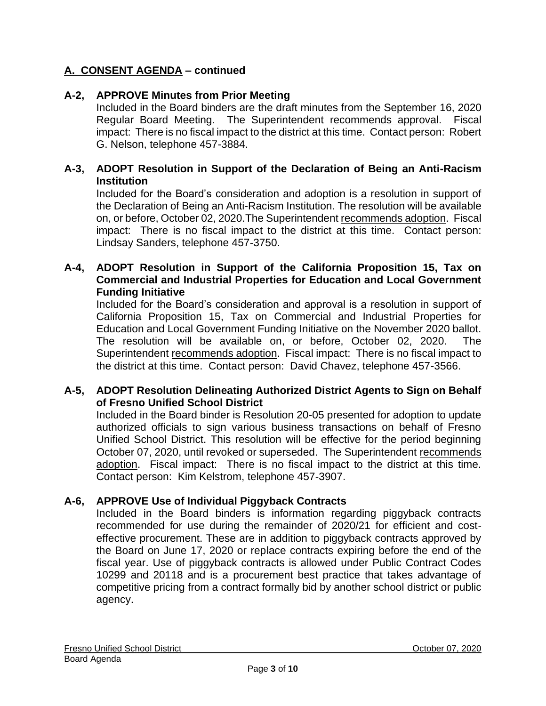### **A-2, APPROVE Minutes from Prior Meeting**

 Included in the Board binders are the draft minutes from the September 16, 2020 Regular Board Meeting. The Superintendent recommends approval. Fiscal impact: There is no fiscal impact to the district at this time. Contact person: Robert G. Nelson, telephone 457-3884.

#### **A-3, ADOPT Resolution in Support of the Declaration of Being an Anti-Racism Institution**

 Included for the Board's consideration and adoption is a resolution in support of the Declaration of Being an Anti-Racism Institution. The resolution will be available on, or before, October 02, 2020. The Superintendent recommends adoption. Fiscal impact: There is no fiscal impact to the district at this time. Contact person: Lindsay Sanders, telephone 457-3750.

#### **A-4, ADOPT Resolution in Support of the California Proposition 15, Tax on Commercial and Industrial Properties for Education and Local Government Funding Initiative**

 Included for the Board's consideration and approval is a resolution in support of California Proposition 15, Tax on Commercial and Industrial Properties for Education and Local Government Funding Initiative on the November 2020 ballot. The resolution will be available on, or before, October 02, 2020. The Superintendent recommends adoption. Fiscal impact: There is no fiscal impact to the district at this time. Contact person: David Chavez, telephone 457-3566.

#### **A-5, ADOPT Resolution Delineating Authorized District Agents to Sign on Behalf of Fresno Unified School District**

 Included in the Board binder is Resolution 20-05 presented for adoption to update authorized officials to sign various business transactions on behalf of Fresno Unified School District. This resolution will be effective for the period beginning October 07, 2020, until revoked or superseded. The Superintendent recommends adoption. Fiscal impact: There is no fiscal impact to the district at this time. Contact person: Kim Kelstrom, telephone 457-3907.

#### **A-6, APPROVE Use of Individual Piggyback Contracts**

 Included in the Board binders is information regarding piggyback contracts recommended for use during the remainder of 2020/21 for efficient and cost- effective procurement. These are in addition to piggyback contracts approved by the Board on June 17, 2020 or replace contracts expiring before the end of the fiscal year. Use of piggyback contracts is allowed under Public Contract Codes 10299 and 20118 and is a procurement best practice that takes advantage of competitive pricing from a contract formally bid by another school district or public agency.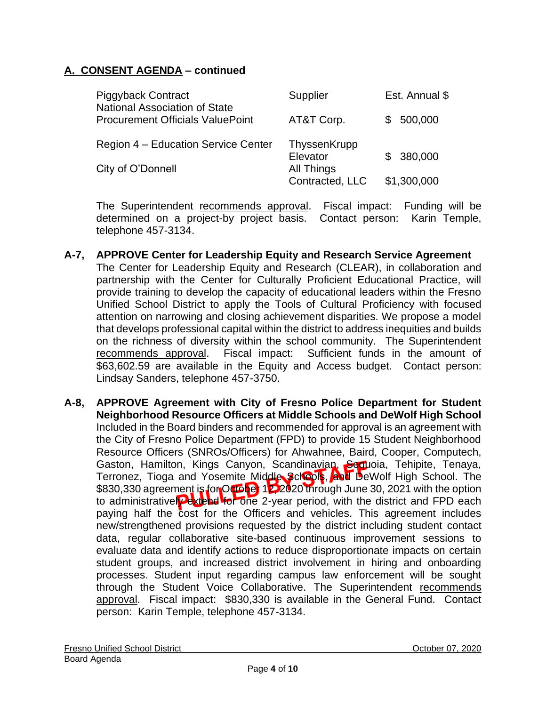| <b>Piggyback Contract</b><br><b>National Association of State</b><br><b>Procurement Officials ValuePoint</b> | Supplier                      | Est. Annual \$ |
|--------------------------------------------------------------------------------------------------------------|-------------------------------|----------------|
|                                                                                                              | AT&T Corp.                    | 500,000        |
| Region 4 - Education Service Center                                                                          | ThyssenKrupp<br>Elevator      | \$380,000      |
| City of O'Donnell                                                                                            | All Things<br>Contracted, LLC | \$1,300,000    |

The Superintendent recommends approval. Fiscal impact: Funding will be determined on a project-by project basis. Contact person: Karin Temple, telephone 457-3134.

#### **A-7, APPROVE Center for Leadership Equity and Research Service Agreement**

- The Center for Leadership Equity and Research (CLEAR), in collaboration and partnership with the Center for Culturally Proficient Educational Practice, will provide training to develop the capacity of educational leaders within the Fresno Unified School District to apply the Tools of Cultural Proficiency with focused attention on narrowing and closing achievement disparities. We propose a model that develops professional capital within the district to address inequities and builds on the richness of diversity within the school community. The Superintendent recommends approval. Fiscal impact: Sufficient funds in the amount of \$63,602.59 are available in the Equity and Access budget. Contact person: Lindsay Sanders, telephone 457-3750.
- **A-8, APPROVE Agreement with City of Fresno Police Department for Student Neighborhood Resource Officers at Middle Schools and DeWolf High School**  Included in the Board binders and recommended for approval is an agreement with the City of Fresno Police Department (FPD) to provide 15 Student Neighborhood Gaston, Hamilton, Kings Canyon, Scandinavian, Sequoia, Tehipite, Tenaya, Terronez, Tioga and Yosemite Middle Schools, and DeWolf High School. The \$830,330 agreement is for October 12, 2020 through June 30, 2021 with the option to administrativel**y extend for one** 2-year period, with the district and FPD each paying half the cost for the Officers and vehicles. This agreement includes new/strengthened provisions requested by the district including student contact evaluate data and identify actions to reduce disproportionate impacts on certain student groups, and increased district involvement in hiring and onboarding processes. Student input regarding campus law enforcement will be sought through the Student Voice Collaborative. The Superintendent recommends approval. Fiscal impact: \$830,330 is available in the General Fund. Contact person: Karin Temple, telephone 457-3134. Resource Officers (SNROs/Officers) for Ahwahnee, Baird, Cooper, Computech, data, regular collaborative site-based continuous improvement sessions to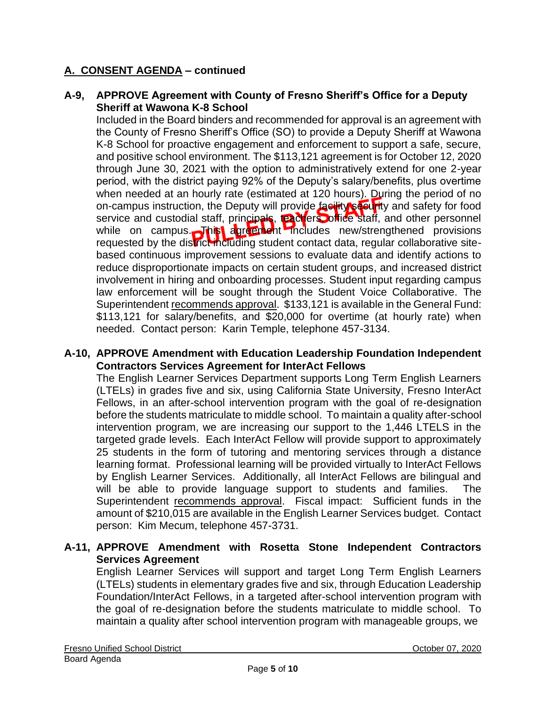#### **A-9, APPROVE Agreement with County of Fresno Sheriff's Office for a Deputy Sheriff at Wawona K-8 School**

 Included in the Board binders and recommended for approval is an agreement with the County of Fresno Sheriff's Office (SO) to provide a Deputy Sheriff at Wawona and positive school environment. The \$113,121 agreement is for October 12, 2020 through June 30, 2021 with the option to administratively extend for one 2-year period, with the district paying 92% of the Deputy's salary/benefits, plus overtime when needed at an hourly rate (estimated at 120 hours). During the period of no on-campus instruction, the Deputy will provide **facility securit**y and safety for food service and custodial staff, principals, teachers, office staff, and other personnel requested by the district including student contact data, regular collaborative site- based continuous improvement sessions to evaluate data and identify actions to reduce disproportionate impacts on certain student groups, and increased district involvement in hiring and onboarding processes. Student input regarding campus law enforcement will be sought through the Student Voice Collaborative. The Superintendent recommends approval. \$133,121 is available in the General Fund: \$113,121 for salary/benefits, and \$20,000 for overtime (at hourly rate) when needed. Contact person: Karin Temple, telephone 457-3134. K-8 School for proactive engagement and enforcement to support a safe, secure, while on campus. This agreement includes new/strengthened provisions

#### **A-10, APPROVE Amendment with Education Leadership Foundation Independent Contractors Services Agreement for InterAct Fellows**

 The English Learner Services Department supports Long Term English Learners (LTELs) in grades five and six, using California State University, Fresno InterAct Fellows, in an after-school intervention program with the goal of re-designation before the students matriculate to middle school. To maintain a quality after-school intervention program, we are increasing our support to the 1,446 LTELS in the targeted grade levels. Each InterAct Fellow will provide support to approximately 25 students in the form of tutoring and mentoring services through a distance learning format. Professional learning will be provided virtually to InterAct Fellows will be able to provide language support to students and families. The Superintendent recommends approval. Fiscal impact: Sufficient funds in the amount of \$210,015 are available in the English Learner Services budget. Contact person: Kim Mecum, telephone 457-3731. by English Learner Services. Additionally, all InterAct Fellows are bilingual and

#### **A-11, APPROVE Amendment with Rosetta Stone Independent Contractors Services Agreement**

 English Learner Services will support and target Long Term English Learners (LTELs) students in elementary grades five and six, through Education Leadership Foundation/InterAct Fellows, in a targeted after-school intervention program with the goal of re-designation before the students matriculate to middle school. To maintain a quality after school intervention program with manageable groups, we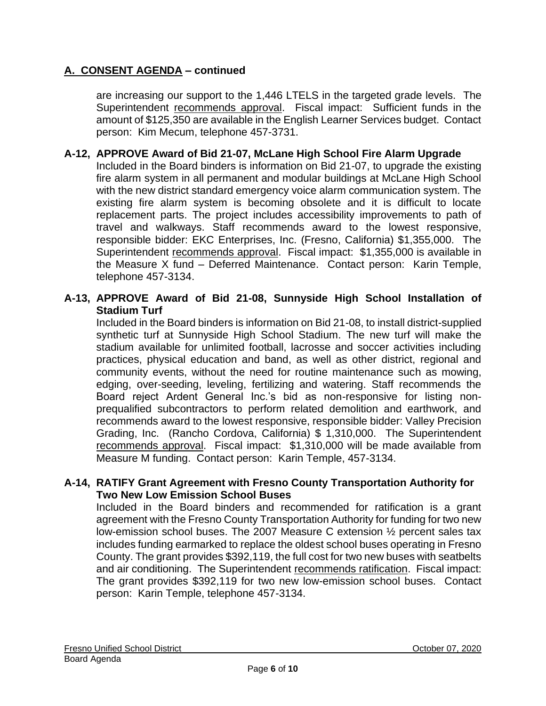are increasing our support to the 1,446 LTELS in the targeted grade levels. The Superintendent recommends approval. Fiscal impact: Sufficient funds in the amount of \$125,350 are available in the English Learner Services budget. Contact person: Kim Mecum, telephone 457-3731.

### **A-12, APPROVE Award of Bid 21-07, McLane High School Fire Alarm Upgrade**

 Included in the Board binders is information on Bid 21-07, to upgrade the existing fire alarm system in all permanent and modular buildings at McLane High School with the new district standard emergency voice alarm communication system. The existing fire alarm system is becoming obsolete and it is difficult to locate replacement parts. The project includes accessibility improvements to path of travel and walkways. Staff recommends award to the lowest responsive, responsible bidder: EKC Enterprises, Inc. (Fresno, California) \$1,355,000. The Superintendent recommends approval. Fiscal impact: \$1,355,000 is available in the Measure X fund – Deferred Maintenance. Contact person: Karin Temple, telephone 457-3134.

#### **A-13, APPROVE Award of Bid 21-08, Sunnyside High School Installation of Stadium Turf**

 Included in the Board binders is information on Bid 21-08, to install district-supplied synthetic turf at Sunnyside High School Stadium. The new turf will make the stadium available for unlimited football, lacrosse and soccer activities including practices, physical education and band, as well as other district, regional and community events, without the need for routine maintenance such as mowing, edging, over-seeding, leveling, fertilizing and watering. Staff recommends the Board reject Ardent General Inc.'s bid as non-responsive for listing non- prequalified subcontractors to perform related demolition and earthwork, and recommends award to the lowest responsive, responsible bidder: Valley Precision Grading, Inc. (Rancho Cordova, California) \$ 1,310,000. The Superintendent recommends approval. Fiscal impact: \$1,310,000 will be made available from Measure M funding. Contact person: Karin Temple, 457-3134.

#### **A-14, RATIFY Grant Agreement with Fresno County Transportation Authority for Two New Low Emission School Buses**

 Included in the Board binders and recommended for ratification is a grant agreement with the Fresno County Transportation Authority for funding for two new low-emission school buses. The 2007 Measure C extension ½ percent sales tax includes funding earmarked to replace the oldest school buses operating in Fresno County. The grant provides \$392,119, the full cost for two new buses with seatbelts and air conditioning. The Superintendent recommends ratification. Fiscal impact: The grant provides \$392,119 for two new low-emission school buses. Contact person: Karin Temple, telephone 457-3134.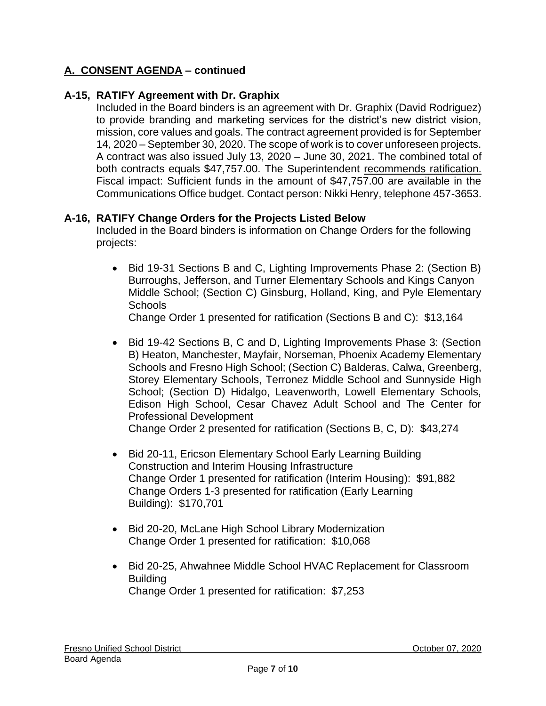#### **A-15, RATIFY Agreement with Dr. Graphix**

 Included in the Board binders is an agreement with Dr. Graphix (David Rodriguez) to provide branding and marketing services for the district's new district vision, mission, core values and goals. The contract agreement provided is for September 14, 2020 – September 30, 2020. The scope of work is to cover unforeseen projects. A contract was also issued July 13, 2020 – June 30, 2021. The combined total of Communications Office budget. Contact person: Nikki Henry, telephone 457-3653. both contracts equals \$47,757.00. The Superintendent recommends ratification. Fiscal impact: Sufficient funds in the amount of \$47,757.00 are available in the

#### **A-16, RATIFY Change Orders for the Projects Listed Below**

Included in the Board binders is information on Change Orders for the following projects:

 • Bid 19-31 Sections B and C, Lighting Improvements Phase 2: (Section B) Middle School; (Section C) Ginsburg, Holland, King, and Pyle Elementary Burroughs, Jefferson, and Turner Elementary Schools and Kings Canyon **Schools** 

Change Order 1 presented for ratification (Sections B and C): \$13,164

 • Bid 19-42 Sections B, C and D, Lighting Improvements Phase 3: (Section Schools and Fresno High School; (Section C) Balderas, Calwa, Greenberg, Storey Elementary Schools, Terronez Middle School and Sunnyside High School; (Section D) Hidalgo, Leavenworth, Lowell Elementary Schools, Edison High School, Cesar Chavez Adult School and The Center for B) Heaton, Manchester, Mayfair, Norseman, Phoenix Academy Elementary Professional Development

Change Order 2 presented for ratification (Sections B, C, D): \$43,274

- Change Orders 1-3 presented for ratification (Early Learning • Bid 20-11, Ericson Elementary School Early Learning Building Construction and Interim Housing Infrastructure Change Order 1 presented for ratification (Interim Housing): \$91,882 Building): \$170,701
- Change Order 1 presented for ratification: \$10,068 • Bid 20-20, McLane High School Library Modernization
- Change Order 1 presented for ratification: \$7,253 • Bid 20-25, Ahwahnee Middle School HVAC Replacement for Classroom Building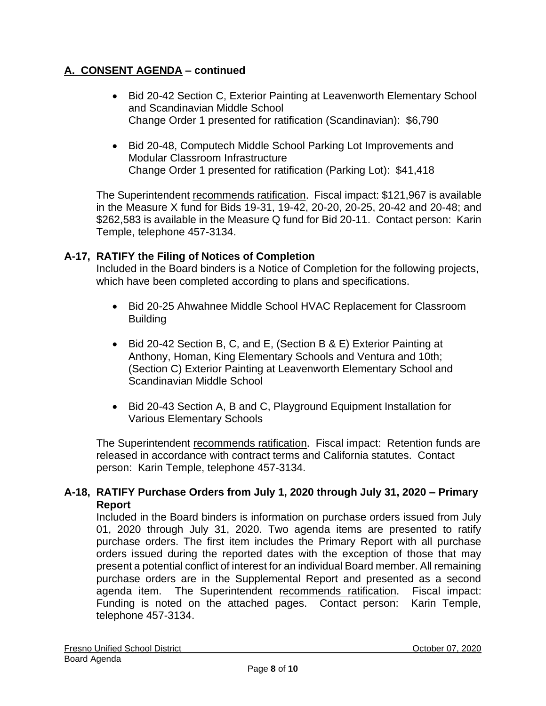- Bid 20-42 Section C, Exterior Painting at Leavenworth Elementary School and Scandinavian Middle School Change Order 1 presented for ratification (Scandinavian): \$6,790
- Change Order 1 presented for ratification (Parking Lot): \$41,418 • Bid 20-48, Computech Middle School Parking Lot Improvements and Modular Classroom Infrastructure

The Superintendent recommends ratification. Fiscal impact: \$121,967 is available in the Measure X fund for Bids 19-31, 19-42, 20-20, 20-25, 20-42 and 20-48; and \$262,583 is available in the Measure Q fund for Bid 20-11. Contact person: Karin Temple, telephone 457-3134.

# **A-17, RATIFY the Filing of Notices of Completion**

Included in the Board binders is a Notice of Completion for the following projects, which have been completed according to plans and specifications.

- Bid 20-25 Ahwahnee Middle School HVAC Replacement for Classroom Building
- Bid 20-42 Section B, C, and E, (Section B & E) Exterior Painting at Anthony, Homan, King Elementary Schools and Ventura and 10th; (Section C) Exterior Painting at Leavenworth Elementary School and Scandinavian Middle School
- Bid 20-43 Section A, B and C, Playground Equipment Installation for Various Elementary Schools

The Superintendent recommends ratification. Fiscal impact: Retention funds are released in accordance with contract terms and California statutes. Contact person: Karin Temple, telephone 457-3134.

# **A-18, RATIFY Purchase Orders from July 1, 2020 through July 31, 2020 – Primary Report**

 Included in the Board binders is information on purchase orders issued from July 01, 2020 through July 31, 2020. Two agenda items are presented to ratify purchase orders. The first item includes the Primary Report with all purchase orders issued during the reported dates with the exception of those that may present a potential conflict of interest for an individual Board member. All remaining purchase orders are in the Supplemental Report and presented as a second agenda item. The Superintendent recommends ratification. Fiscal impact: Funding is noted on the attached pages. Contact person: Karin Temple, telephone 457-3134.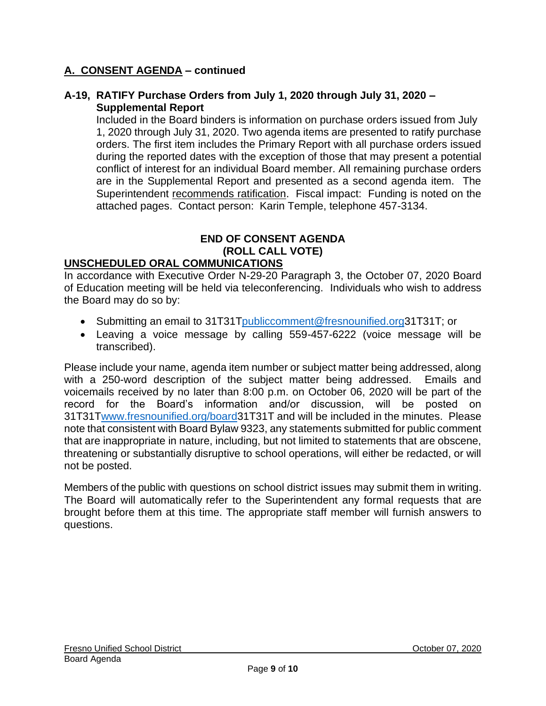#### **A-19, RATIFY Purchase Orders from July 1, 2020 through July 31, 2020 – Supplemental Report**

 1, 2020 through July 31, 2020. Two agenda items are presented to ratify purchase orders. The first item includes the Primary Report with all purchase orders issued during the reported dates with the exception of those that may present a potential conflict of interest for an individual Board member. All remaining purchase orders are in the Supplemental Report and presented as a second agenda item. The Superintendent recommends ratification. Fiscal impact: Funding is noted on the Included in the Board binders is information on purchase orders issued from July attached pages. Contact person: Karin Temple, telephone 457-3134.

# **END OF CONSENT AGENDA (ROLL CALL VOTE)**

#### **UNSCHEDULED ORAL COMMUNICATIONS**

 In accordance with Executive Order N-29-20 Paragraph 3, the October 07, 2020 Board of Education meeting will be held via teleconferencing. Individuals who wish to address the Board may do so by:

- Submitting an email to 31[T31Tpubliccomment@fresnounified.org3](mailto:publiccomment@fresnounified.org)1T31T; or
- • Leaving a voice message by calling 559-457-6222 (voice message will be transcribed).

 Please include your name, agenda item number or subject matter being addressed, along with a 250-word description of the subject matter being addressed. Emails and voicemails received by no later than 8:00 p.m. on October 06, 2020 will be part of the record for the Board's information and/or discussion, will be posted on 31[T31Twww.fresnounified.org/board3](http://www.fresnounified.org/board)1T31T and will be included in the minutes. Please that are inappropriate in nature, including, but not limited to statements that are obscene, threatening or substantially disruptive to school operations, will either be redacted, or will note that consistent with Board Bylaw 9323, any statements submitted for public comment not be posted.

 brought before them at this time. The appropriate staff member will furnish answers to Members of the public with questions on school district issues may submit them in writing. The Board will automatically refer to the Superintendent any formal requests that are questions.